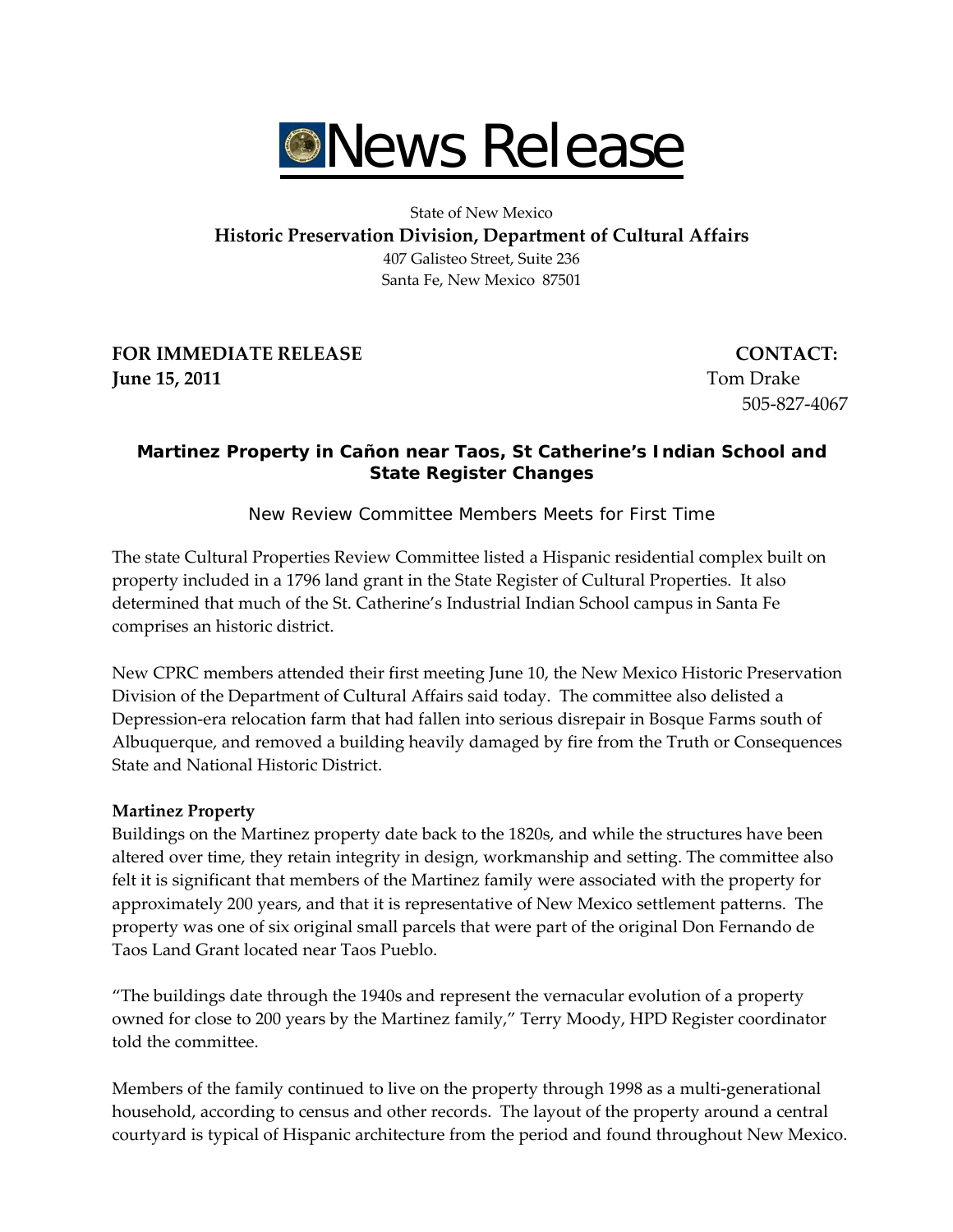

State of New Mexico

**Historic Preservation Division, Department of Cultural Affairs**

407 Galisteo Street, Suite 236 Santa Fe, New Mexico 87501

**FOR IMMEDIATE RELEASE CONTACT: Iune 15, 2011 IDENSITY <b>CONSTANDENT CONSTANDENT CONSTANDENT CONSTANDENT CONSTANDENT CONSTANDENT CONSTANDENT** 

505‐827‐4067

# **Martinez Property in Cañon near Taos, St Catherine's Indian School and State Register Changes**

*New Review Committee Members Meets for First Time* 

The state Cultural Properties Review Committee listed a Hispanic residential complex built on property included in a 1796 land grant in the State Register of Cultural Properties. It also determined that much of the St. Catherine's Industrial Indian School campus in Santa Fe comprises an historic district.

New CPRC members attended their first meeting June 10, the New Mexico Historic Preservation Division of the Department of Cultural Affairs said today. The committee also delisted a Depression‐era relocation farm that had fallen into serious disrepair in Bosque Farms south of Albuquerque, and removed a building heavily damaged by fire from the Truth or Consequences State and National Historic District.

## **Martinez Property**

Buildings on the Martinez property date back to the 1820s, and while the structures have been altered over time, they retain integrity in design, workmanship and setting. The committee also felt it is significant that members of the Martinez family were associated with the property for approximately 200 years, and that it is representative of New Mexico settlement patterns. The property was one of six original small parcels that were part of the original Don Fernando de Taos Land Grant located near Taos Pueblo.

"The buildings date through the 1940s and represent the vernacular evolution of a property owned for close to 200 years by the Martinez family," Terry Moody, HPD Register coordinator told the committee.

Members of the family continued to live on the property through 1998 as a multi-generational household, according to census and other records. The layout of the property around a central courtyard is typical of Hispanic architecture from the period and found throughout New Mexico.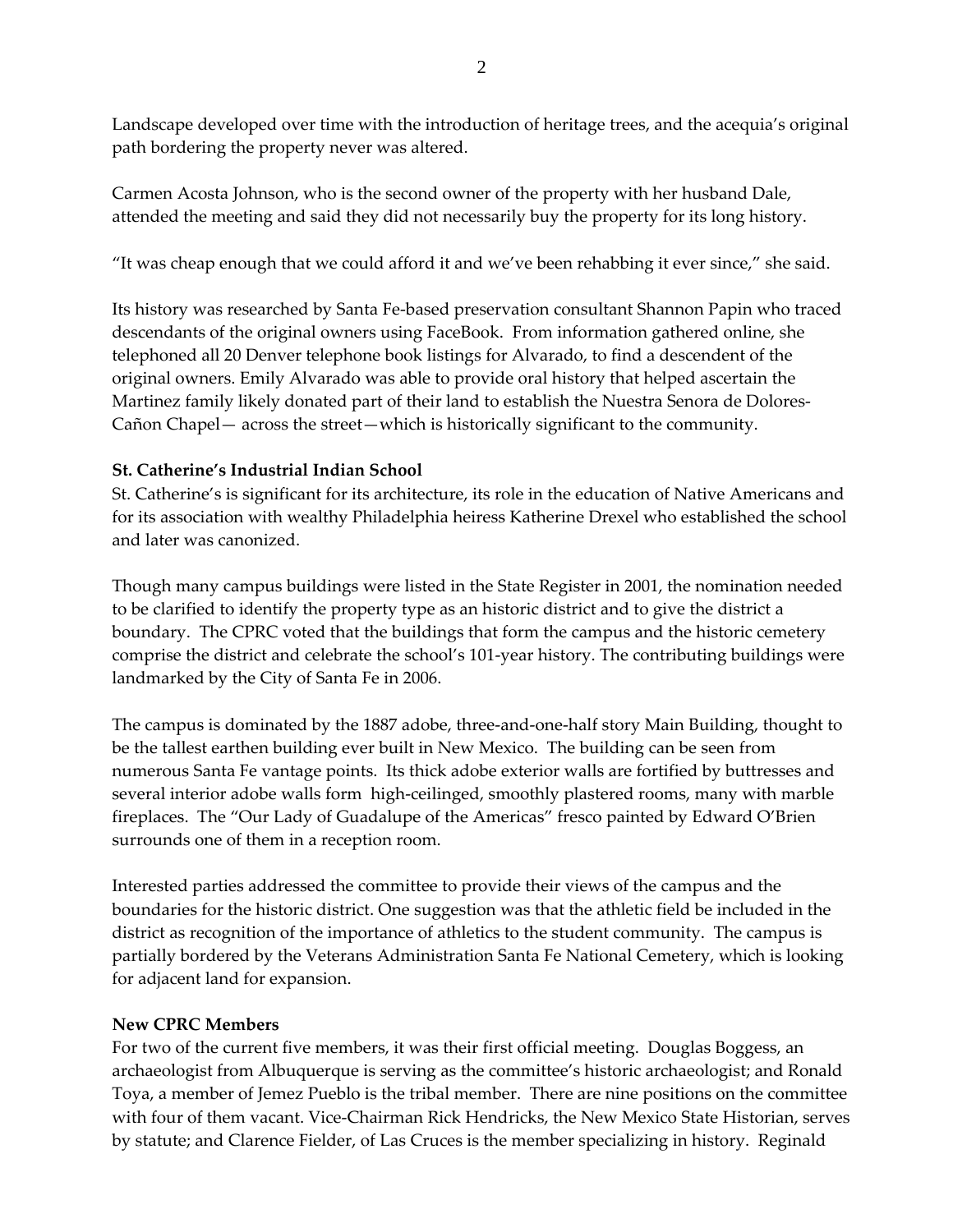Landscape developed over time with the introduction of heritage trees, and the acequia's original path bordering the property never was altered.

Carmen Acosta Johnson, who is the second owner of the property with her husband Dale, attended the meeting and said they did not necessarily buy the property for its long history.

"It was cheap enough that we could afford it and we've been rehabbing it ever since," she said.

Its history was researched by Santa Fe‐based preservation consultant Shannon Papin who traced descendants of the original owners using FaceBook. From information gathered online, she telephoned all 20 Denver telephone book listings for Alvarado, to find a descendent of the original owners. Emily Alvarado was able to provide oral history that helped ascertain the Martinez family likely donated part of their land to establish the Nuestra Senora de Dolores‐ Cañon Chapel— across the street—which is historically significant to the community.

## **St. Catherine's Industrial Indian School**

St. Catherine's is significant for its architecture, its role in the education of Native Americans and for its association with wealthy Philadelphia heiress Katherine Drexel who established the school and later was canonized.

Though many campus buildings were listed in the State Register in 2001, the nomination needed to be clarified to identify the property type as an historic district and to give the district a boundary. The CPRC voted that the buildings that form the campus and the historic cemetery comprise the district and celebrate the school's 101‐year history. The contributing buildings were landmarked by the City of Santa Fe in 2006.

The campus is dominated by the 1887 adobe, three‐and‐one‐half story Main Building, thought to be the tallest earthen building ever built in New Mexico. The building can be seen from numerous Santa Fe vantage points. Its thick adobe exterior walls are fortified by buttresses and several interior adobe walls form high-ceilinged, smoothly plastered rooms, many with marble fireplaces. The "Our Lady of Guadalupe of the Americas" fresco painted by Edward O'Brien surrounds one of them in a reception room.

Interested parties addressed the committee to provide their views of the campus and the boundaries for the historic district. One suggestion was that the athletic field be included in the district as recognition of the importance of athletics to the student community. The campus is partially bordered by the Veterans Administration Santa Fe National Cemetery, which is looking for adjacent land for expansion.

## **New CPRC Members**

For two of the current five members, it was their first official meeting. Douglas Boggess, an archaeologist from Albuquerque is serving as the committee's historic archaeologist; and Ronald Toya, a member of Jemez Pueblo is the tribal member. There are nine positions on the committee with four of them vacant. Vice‐Chairman Rick Hendricks, the New Mexico State Historian, serves by statute; and Clarence Fielder, of Las Cruces is the member specializing in history. Reginald